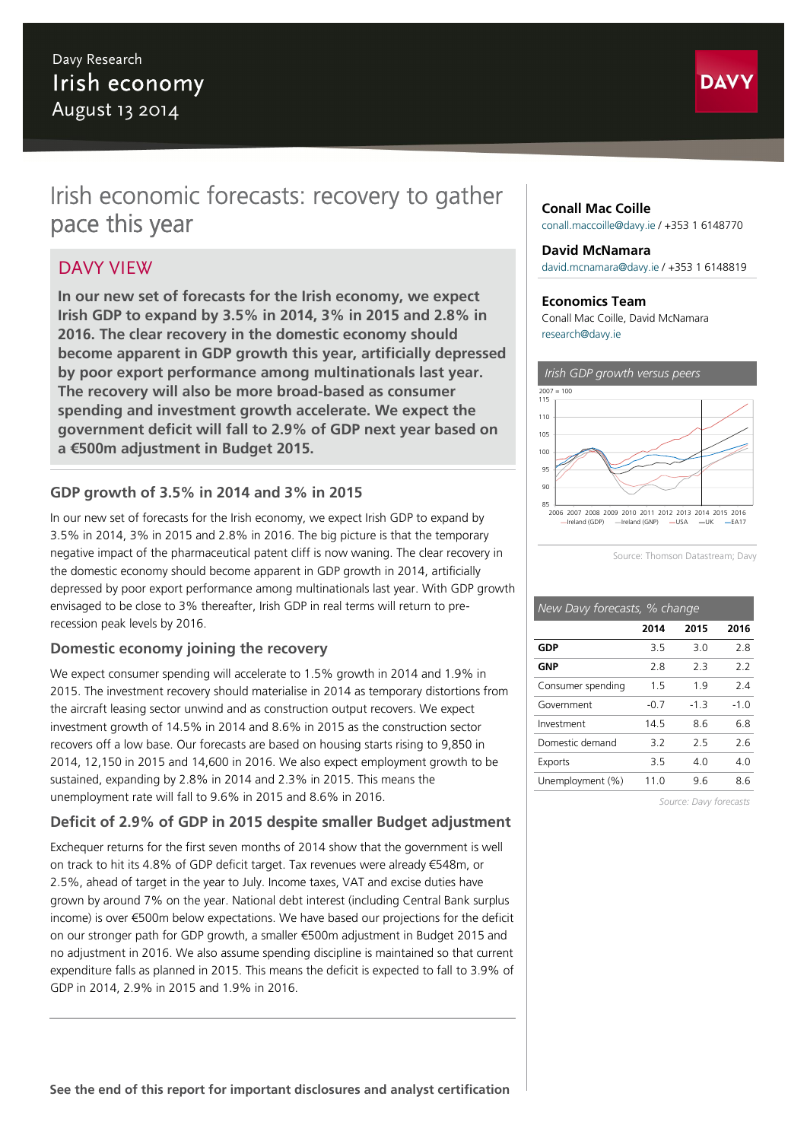# Davy Research Irish economy August 13 2014



# Irish economic forecasts: recovery to gather pace this year

# DAVY VIEW

**In our new set of forecasts for the Irish economy, we expect Irish GDP to expand by 3.5% in 2014, 3% in 2015 and 2.8% in 2016. The clear recovery in the domestic economy should become apparent in GDP growth this year, artificially depressed by poor export performance among multinationals last year. The recovery will also be more broad-based as consumer spending and investment growth accelerate. We expect the government deficit will fall to 2.9% of GDP next year based on a €500m adjustment in Budget 2015.**

### **GDP growth of 3.5% in 2014 and 3% in 2015**

In our new set of forecasts for the Irish economy, we expect Irish GDP to expand by 3.5% in 2014, 3% in 2015 and 2.8% in 2016. The big picture is that the temporary negative impact of the pharmaceutical patent cliff is now waning. The clear recovery in the domestic economy should become apparent in GDP growth in 2014, artificially depressed by poor export performance among multinationals last year. With GDP growth envisaged to be close to 3% thereafter, Irish GDP in real terms will return to prerecession peak levels by 2016.

### **Domestic economy joining the recovery**

We expect consumer spending will accelerate to 1.5% growth in 2014 and 1.9% in 2015. The investment recovery should materialise in 2014 as temporary distortions from the aircraft leasing sector unwind and as construction output recovers. We expect investment growth of 14.5% in 2014 and 8.6% in 2015 as the construction sector recovers off a low base. Our forecasts are based on housing starts rising to 9,850 in 2014, 12,150 in 2015 and 14,600 in 2016. We also expect employment growth to be sustained, expanding by 2.8% in 2014 and 2.3% in 2015. This means the unemployment rate will fall to 9.6% in 2015 and 8.6% in 2016.

# **Deficit of 2.9% of GDP in 2015 despite smaller Budget adjustment**

Exchequer returns for the first seven months of 2014 show that the government is well on track to hit its 4.8% of GDP deficit target. Tax revenues were already €548m, or 2.5%, ahead of target in the year to July. Income taxes, VAT and excise duties have grown by around 7% on the year. National debt interest (including Central Bank surplus income) is over €500m below expectations. We have based our projections for the deficit on our stronger path for GDP growth, a smaller €500m adjustment in Budget 2015 and no adjustment in 2016. We also assume spending discipline is maintained so that current expenditure falls as planned in 2015. This means the deficit is expected to fall to 3.9% of GDP in 2014, 2.9% in 2015 and 1.9% in 2016.

### **Conall Mac Coille**

[conall.maccoille@davy.ie](mailto:conall.maccoille@davy.ie) / +353 1 6148770

#### **David McNamara**

[david.mcnamara@davy.ie](mailto:david.mcnamara@davy.ie) / +353 1 6148819

#### **Economics Team**

Conall Mac Coille, David McNamara [research@davy.ie](mailto:research@davy.ie)



Source: Thomson Datastream; Davy

| New Davy forecasts, % change |        |        |        |  |  |  |  |
|------------------------------|--------|--------|--------|--|--|--|--|
|                              | 2014   | 2015   | 2016   |  |  |  |  |
| GDP                          | 35     | 3.0    | 28     |  |  |  |  |
| GNP                          | 28     | 23     | 22     |  |  |  |  |
| Consumer spending            | 15     | 19     | 24     |  |  |  |  |
| Government                   | $-0.7$ | $-1.3$ | $-1.0$ |  |  |  |  |
| Investment                   | 14.5   | 86     | 68     |  |  |  |  |
| Domestic demand              | 3.2    | 25     | 26     |  |  |  |  |
|                              |        |        |        |  |  |  |  |

Exports 3.5 4.0 4.0 Unemployment (%) 11.0 9.6 8.6

*Source: Davy forecasts*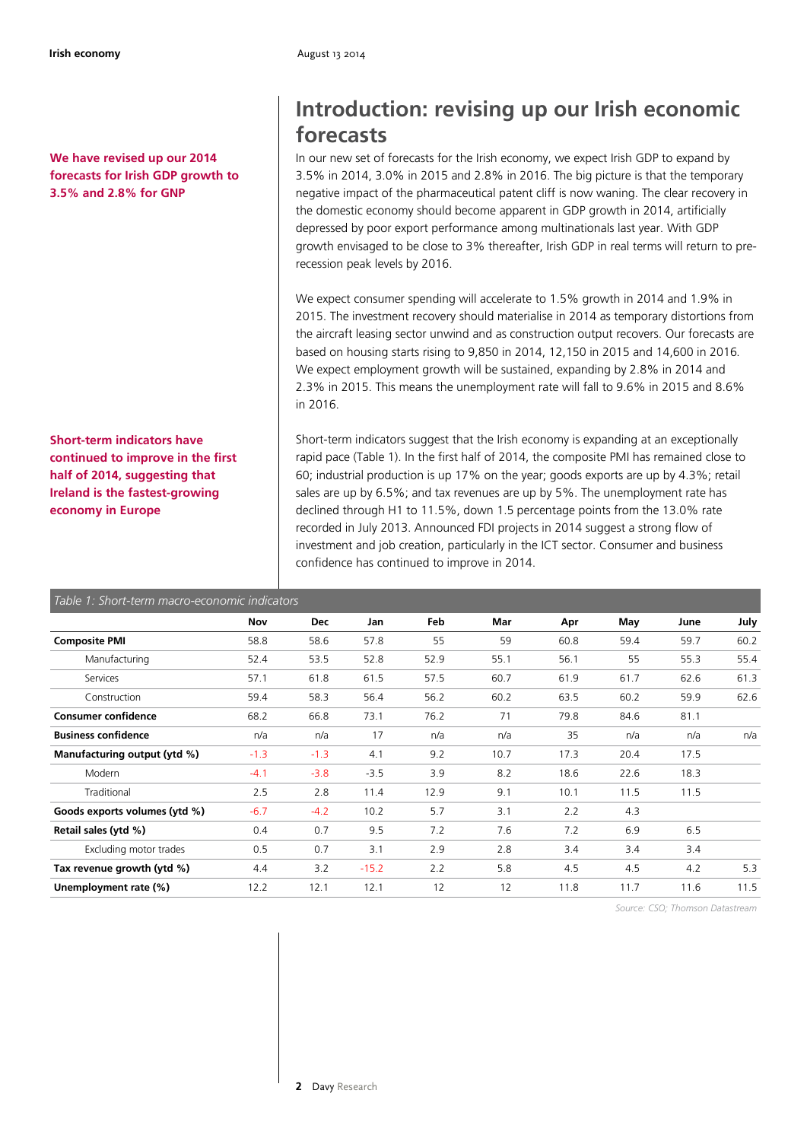**We have revised up our 2014 forecasts for Irish GDP growth to 3.5% and 2.8% for GNP**

**Short-term indicators have continued to improve in the first half of 2014, suggesting that Ireland is the fastest-growing economy in Europe**

# **Introduction: revising up our Irish economic forecasts**

In our new set of forecasts for the Irish economy, we expect Irish GDP to expand by 3.5% in 2014, 3.0% in 2015 and 2.8% in 2016. The big picture is that the temporary negative impact of the pharmaceutical patent cliff is now waning. The clear recovery in the domestic economy should become apparent in GDP growth in 2014, artificially depressed by poor export performance among multinationals last year. With GDP growth envisaged to be close to 3% thereafter, Irish GDP in real terms will return to prerecession peak levels by 2016.

We expect consumer spending will accelerate to 1.5% growth in 2014 and 1.9% in 2015. The investment recovery should materialise in 2014 as temporary distortions from the aircraft leasing sector unwind and as construction output recovers. Our forecasts are based on housing starts rising to 9,850 in 2014, 12,150 in 2015 and 14,600 in 2016. We expect employment growth will be sustained, expanding by 2.8% in 2014 and 2.3% in 2015. This means the unemployment rate will fall to 9.6% in 2015 and 8.6% in 2016.

Short-term indicators suggest that the Irish economy is expanding at an exceptionally rapid pace (Table 1). In the first half of 2014, the composite PMI has remained close to 60; industrial production is up 17% on the year; goods exports are up by 4.3%; retail sales are up by 6.5%; and tax revenues are up by 5%. The unemployment rate has declined through H1 to 11.5%, down 1.5 percentage points from the 13.0% rate recorded in July 2013. Announced FDI projects in 2014 suggest a strong flow of investment and job creation, particularly in the ICT sector. Consumer and business confidence has continued to improve in 2014.

| Table 1: Short-term macro-economic indicators |        |            |         |      |      |      |      |      |      |
|-----------------------------------------------|--------|------------|---------|------|------|------|------|------|------|
|                                               | Nov    | <b>Dec</b> | Jan     | Feb  | Mar  | Apr  | May  | June | July |
| <b>Composite PMI</b>                          | 58.8   | 58.6       | 57.8    | 55   | 59   | 60.8 | 59.4 | 59.7 | 60.2 |
| Manufacturing                                 | 52.4   | 53.5       | 52.8    | 52.9 | 55.1 | 56.1 | 55   | 55.3 | 55.4 |
| Services                                      | 57.1   | 61.8       | 61.5    | 57.5 | 60.7 | 61.9 | 61.7 | 62.6 | 61.3 |
| Construction                                  | 59.4   | 58.3       | 56.4    | 56.2 | 60.2 | 63.5 | 60.2 | 59.9 | 62.6 |
| <b>Consumer confidence</b>                    | 68.2   | 66.8       | 73.1    | 76.2 | 71   | 79.8 | 84.6 | 81.1 |      |
| <b>Business confidence</b>                    | n/a    | n/a        | 17      | n/a  | n/a  | 35   | n/a  | n/a  | n/a  |
| Manufacturing output (ytd %)                  | $-1.3$ | $-1.3$     | 4.1     | 9.2  | 10.7 | 17.3 | 20.4 | 17.5 |      |
| Modern                                        | $-4.1$ | $-3.8$     | $-3.5$  | 3.9  | 8.2  | 18.6 | 22.6 | 18.3 |      |
| Traditional                                   | 2.5    | 2.8        | 11.4    | 12.9 | 9.1  | 10.1 | 11.5 | 11.5 |      |
| Goods exports volumes (ytd %)                 | $-6.7$ | $-4.2$     | 10.2    | 5.7  | 3.1  | 2.2  | 4.3  |      |      |
| Retail sales (ytd %)                          | 0.4    | 0.7        | 9.5     | 7.2  | 7.6  | 7.2  | 6.9  | 6.5  |      |
| Excluding motor trades                        | 0.5    | 0.7        | 3.1     | 2.9  | 2.8  | 3.4  | 3.4  | 3.4  |      |
| Tax revenue growth (ytd %)                    | 4.4    | 3.2        | $-15.2$ | 2.2  | 5.8  | 4.5  | 4.5  | 4.2  | 5.3  |
| Unemployment rate (%)                         | 12.2   | 12.1       | 12.1    | 12   | 12   | 11.8 | 11.7 | 11.6 | 11.5 |

*Source: CSO; Thomson Datastream*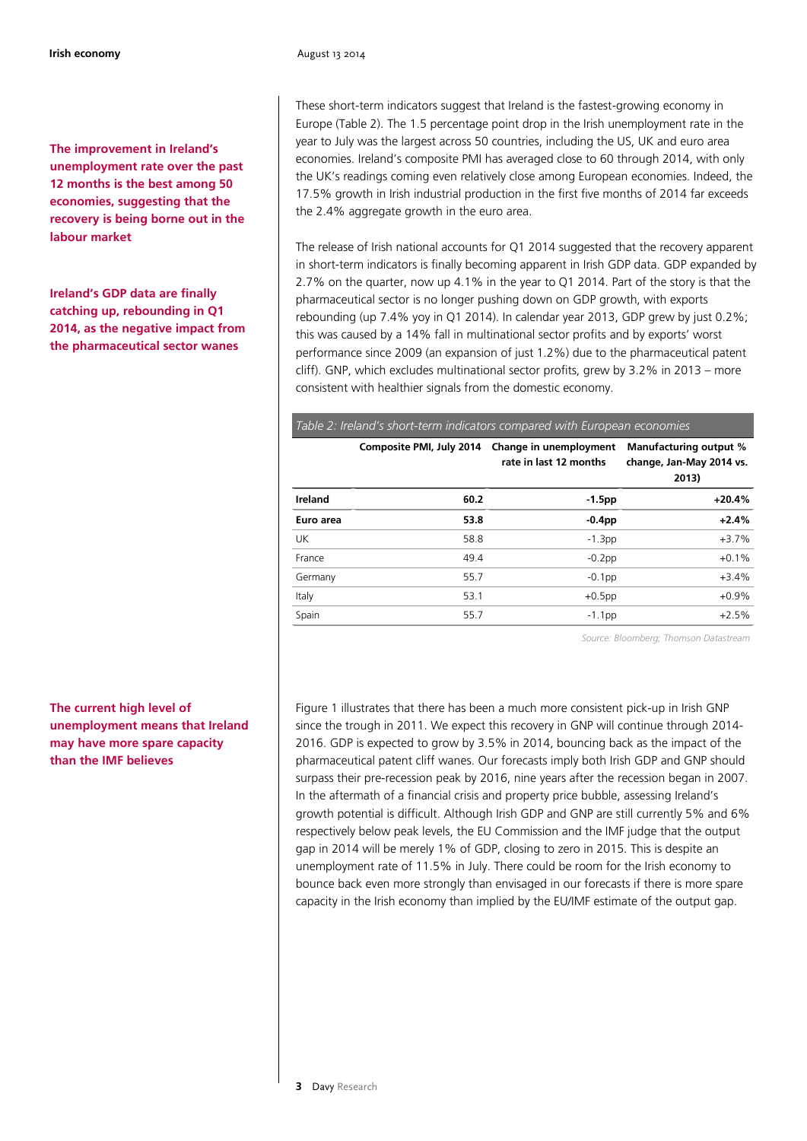**The improvement in Ireland's unemployment rate over the past 12 months is the best among 50 economies, suggesting that the recovery is being borne out in the labour market**

### **Ireland's GDP data are finally catching up, rebounding in Q1 2014, as the negative impact from the pharmaceutical sector wanes**

### **The current high level of unemployment means that Ireland may have more spare capacity than the IMF believes**

These short-term indicators suggest that Ireland is the fastest-growing economy in Europe (Table 2). The 1.5 percentage point drop in the Irish unemployment rate in the year to July was the largest across 50 countries, including the US, UK and euro area economies. Ireland's composite PMI has averaged close to 60 through 2014, with only the UK's readings coming even relatively close among European economies. Indeed, the 17.5% growth in Irish industrial production in the first five months of 2014 far exceeds the 2.4% aggregate growth in the euro area.

The release of Irish national accounts for Q1 2014 suggested that the recovery apparent in short-term indicators is finally becoming apparent in Irish GDP data. GDP expanded by 2.7% on the quarter, now up 4.1% in the year to Q1 2014. Part of the story is that the pharmaceutical sector is no longer pushing down on GDP growth, with exports rebounding (up 7.4% yoy in Q1 2014). In calendar year 2013, GDP grew by just 0.2%; this was caused by a 14% fall in multinational sector profits and by exports' worst performance since 2009 (an expansion of just 1.2%) due to the pharmaceutical patent cliff). GNP, which excludes multinational sector profits, grew by 3.2% in 2013 – more consistent with healthier signals from the domestic economy.

#### *Table 2: Ireland's short-term indicators compared with European economies*

|           | Composite PMI, July 2014 | Change in unemployment<br>rate in last 12 months | Manufacturing output %<br>change, Jan-May 2014 vs.<br>2013) |
|-----------|--------------------------|--------------------------------------------------|-------------------------------------------------------------|
| Ireland   | 60.2                     | $-1.5$ pp                                        | $+20.4%$                                                    |
| Euro area | 53.8                     | $-0.4$ pp                                        | $+2.4%$                                                     |
| <b>UK</b> | 58.8                     | $-1.3pp$                                         | $+3.7%$                                                     |
| France    | 49.4                     | $-0.2$ pp                                        | $+0.1%$                                                     |
| Germany   | 55.7                     | $-0.1$ pp                                        | $+3.4%$                                                     |
| Italy     | 53.1                     | $+0.5$ pp                                        | $+0.9%$                                                     |
| Spain     | 55.7                     | $-1.1$ pp                                        | $+2.5%$                                                     |

*Source: Bloomberg; Thomson Datastream* 

Figure 1 illustrates that there has been a much more consistent pick-up in Irish GNP since the trough in 2011. We expect this recovery in GNP will continue through 2014- 2016. GDP is expected to grow by 3.5% in 2014, bouncing back as the impact of the pharmaceutical patent cliff wanes. Our forecasts imply both Irish GDP and GNP should surpass their pre-recession peak by 2016, nine years after the recession began in 2007. In the aftermath of a financial crisis and property price bubble, assessing Ireland's growth potential is difficult. Although Irish GDP and GNP are still currently 5% and 6% respectively below peak levels, the EU Commission and the IMF judge that the output gap in 2014 will be merely 1% of GDP, closing to zero in 2015. This is despite an unemployment rate of 11.5% in July. There could be room for the Irish economy to bounce back even more strongly than envisaged in our forecasts if there is more spare capacity in the Irish economy than implied by the EU/IMF estimate of the output gap.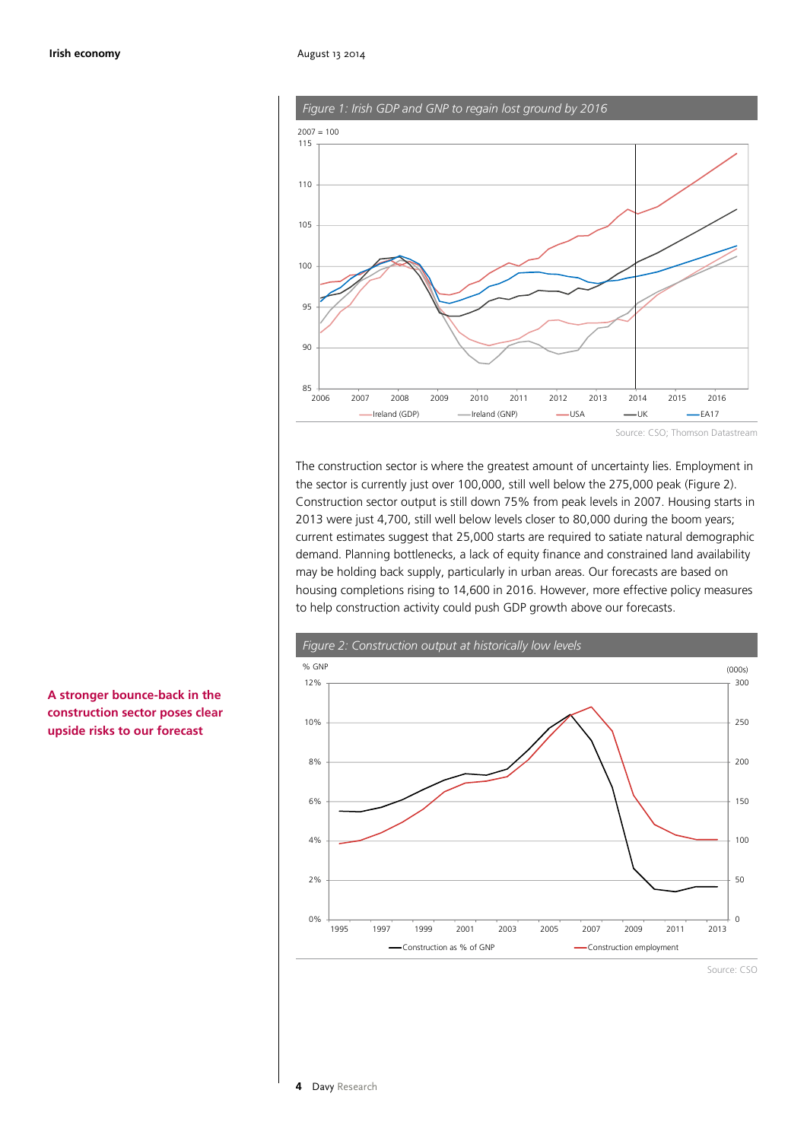

*Figure 1: Irish GDP and GNP to regain lost ground by 2016*

Source: CSO; Thomson Datastream

The construction sector is where the greatest amount of uncertainty lies. Employment in the sector is currently just over 100,000, still well below the 275,000 peak (Figure 2). Construction sector output is still down 75% from peak levels in 2007. Housing starts in 2013 were just 4,700, still well below levels closer to 80,000 during the boom years; current estimates suggest that 25,000 starts are required to satiate natural demographic demand. Planning bottlenecks, a lack of equity finance and constrained land availability may be holding back supply, particularly in urban areas. Our forecasts are based on housing completions rising to 14,600 in 2016. However, more effective policy measures to help construction activity could push GDP growth above our forecasts.



**A stronger bounce-back in the construction sector poses clear upside risks to our forecast**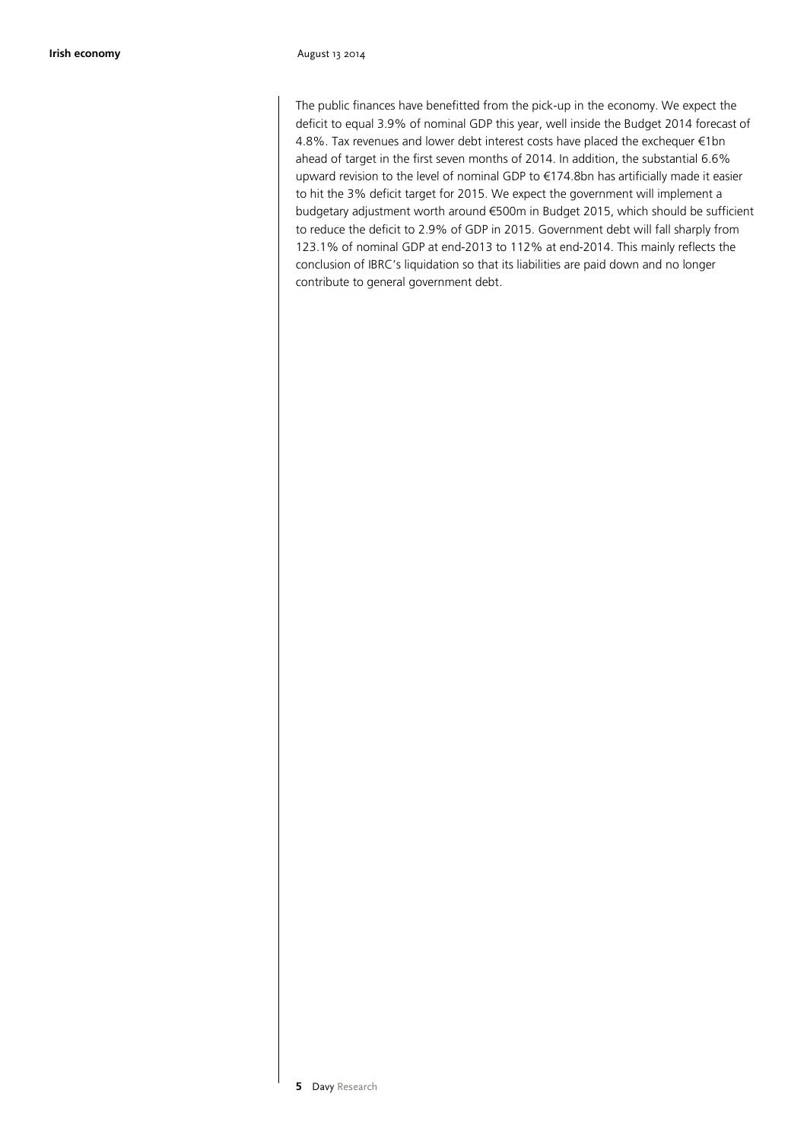The public finances have benefitted from the pick-up in the economy. We expect the deficit to equal 3.9% of nominal GDP this year, well inside the Budget 2014 forecast of 4.8%. Tax revenues and lower debt interest costs have placed the exchequer €1bn ahead of target in the first seven months of 2014. In addition, the substantial 6.6% upward revision to the level of nominal GDP to €174.8bn has artificially made it easier to hit the 3% deficit target for 2015. We expect the government will implement a budgetary adjustment worth around €500m in Budget 2015, which should be sufficient to reduce the deficit to 2.9% of GDP in 2015. Government debt will fall sharply from 123.1% of nominal GDP at end-2013 to 112% at end-2014. This mainly reflects the conclusion of IBRC's liquidation so that its liabilities are paid down and no longer contribute to general government debt.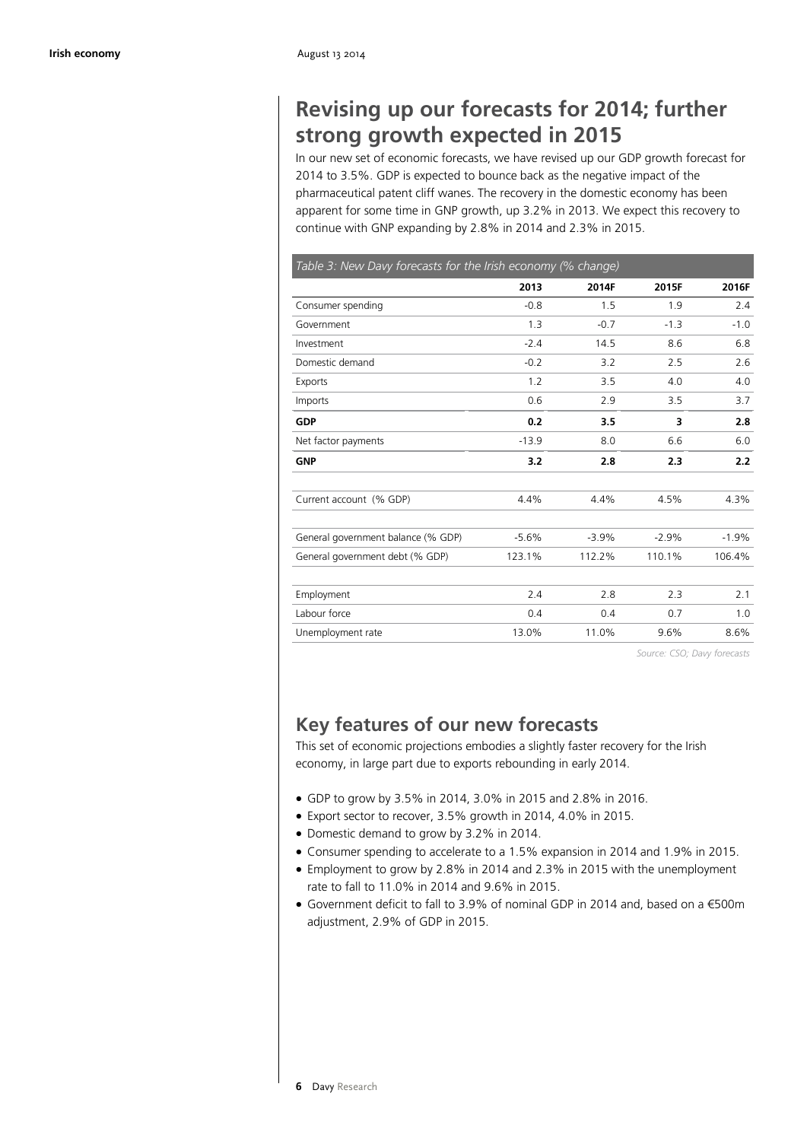# **Revising up our forecasts for 2014; further strong growth expected in 2015**

In our new set of economic forecasts, we have revised up our GDP growth forecast for 2014 to 3.5%. GDP is expected to bounce back as the negative impact of the pharmaceutical patent cliff wanes. The recovery in the domestic economy has been apparent for some time in GNP growth, up 3.2% in 2013. We expect this recovery to continue with GNP expanding by 2.8% in 2014 and 2.3% in 2015.

| Table 3: New Davy forecasts for the Irish economy (% change) |         |         |         |         |  |  |  |
|--------------------------------------------------------------|---------|---------|---------|---------|--|--|--|
|                                                              | 2013    | 2014F   | 2015F   | 2016F   |  |  |  |
| Consumer spending                                            | $-0.8$  | 1.5     | 1.9     | 2.4     |  |  |  |
| Government                                                   | 1.3     | $-0.7$  | $-1.3$  | $-1.0$  |  |  |  |
| Investment                                                   | $-2.4$  | 14.5    | 8.6     | 6.8     |  |  |  |
| Domestic demand                                              | $-0.2$  | 3.2     | 2.5     | 2.6     |  |  |  |
| Exports                                                      | 1.2     | 3.5     | 4.0     | 4.0     |  |  |  |
| Imports                                                      | 0.6     | 2.9     | 3.5     | 3.7     |  |  |  |
| <b>GDP</b>                                                   | 0.2     | 3.5     | 3       | 2.8     |  |  |  |
| Net factor payments                                          | $-13.9$ | 8.0     | 6.6     | 6.0     |  |  |  |
| <b>GNP</b>                                                   | 3.2     | 2.8     | 2.3     | 2.2     |  |  |  |
| Current account (% GDP)                                      | 4.4%    | 4.4%    | 4.5%    | 4.3%    |  |  |  |
| General government balance (% GDP)                           | $-5.6%$ | $-3.9%$ | $-2.9%$ | $-1.9%$ |  |  |  |
| General government debt (% GDP)                              | 123.1%  | 112.2%  | 110.1%  | 106.4%  |  |  |  |
| Employment                                                   | 2.4     | 2.8     | 2.3     | 2.1     |  |  |  |
| Labour force                                                 | 0.4     | 0.4     | 0.7     | 1.0     |  |  |  |
| Unemployment rate                                            | 13.0%   | 11.0%   | 9.6%    | 8.6%    |  |  |  |

*Source: CSO; Davy forecasts*

# **Key features of our new forecasts**

This set of economic projections embodies a slightly faster recovery for the Irish economy, in large part due to exports rebounding in early 2014.

- · GDP to grow by 3.5% in 2014, 3.0% in 2015 and 2.8% in 2016.
- · Export sector to recover, 3.5% growth in 2014, 4.0% in 2015.
- · Domestic demand to grow by 3.2% in 2014.
- · Consumer spending to accelerate to a 1.5% expansion in 2014 and 1.9% in 2015.
- · Employment to grow by 2.8% in 2014 and 2.3% in 2015 with the unemployment rate to fall to 11.0% in 2014 and 9.6% in 2015.
- · Government deficit to fall to 3.9% of nominal GDP in 2014 and, based on a €500m adjustment, 2.9% of GDP in 2015.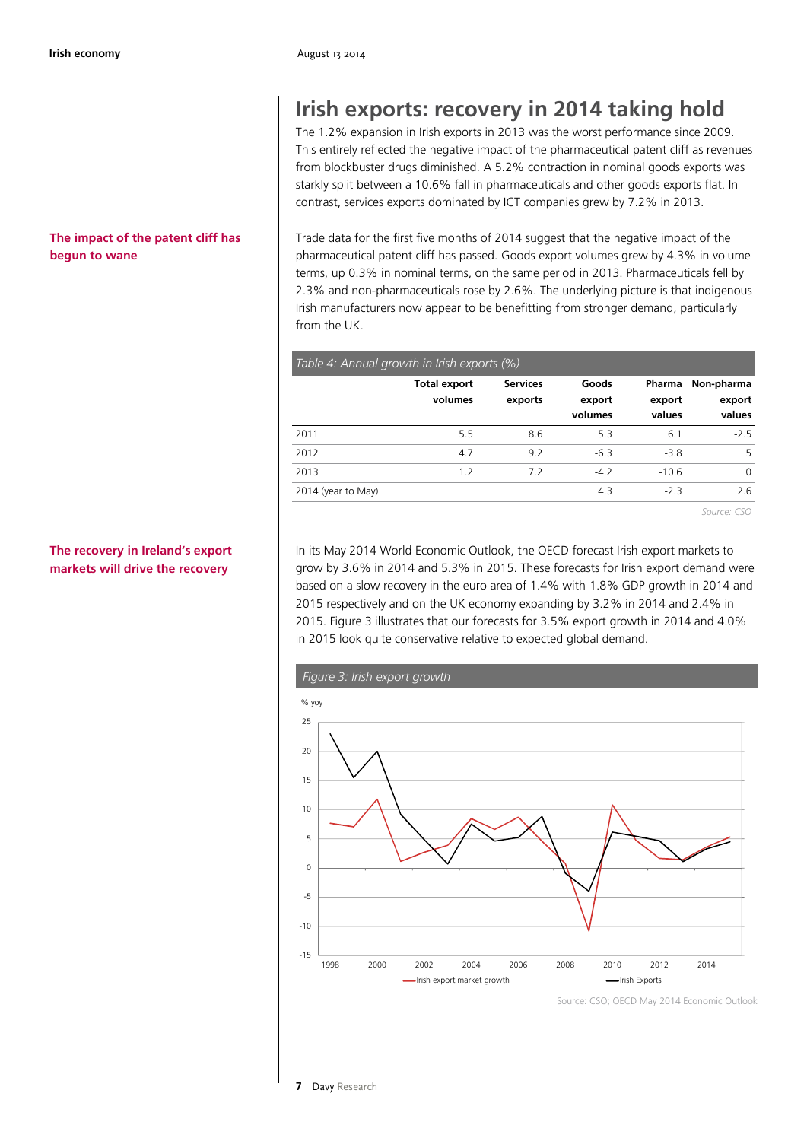#### **Irish economy** August 13 2014

#### **The impact of the patent cliff has begun to wane**

### **The recovery in Ireland's export markets will drive the recovery**

# **Irish exports: recovery in 2014 taking hold**

The 1.2% expansion in Irish exports in 2013 was the worst performance since 2009. This entirely reflected the negative impact of the pharmaceutical patent cliff as revenues from blockbuster drugs diminished. A 5.2% contraction in nominal goods exports was starkly split between a 10.6% fall in pharmaceuticals and other goods exports flat. In contrast, services exports dominated by ICT companies grew by 7.2% in 2013.

Trade data for the first five months of 2014 suggest that the negative impact of the pharmaceutical patent cliff has passed. Goods export volumes grew by 4.3% in volume terms, up 0.3% in nominal terms, on the same period in 2013. Pharmaceuticals fell by 2.3% and non-pharmaceuticals rose by 2.6%. The underlying picture is that indigenous Irish manufacturers now appear to be benefitting from stronger demand, particularly from the UK.

| Table 4: Annual growth in Irish exports (%) |                                |                            |                            |                            |                                |  |
|---------------------------------------------|--------------------------------|----------------------------|----------------------------|----------------------------|--------------------------------|--|
|                                             | <b>Total export</b><br>volumes | <b>Services</b><br>exports | Goods<br>export<br>volumes | Pharma<br>export<br>values | Non-pharma<br>export<br>values |  |
| 2011                                        | 5.5                            | 8.6                        | 5.3                        | 6.1                        | $-25$                          |  |
| 2012                                        | 4.7                            | 9.2                        | $-6.3$                     | $-3.8$                     | 5                              |  |
| 2013                                        | 1.2                            | 7.2                        | $-4.2$                     | $-10.6$                    | $\Omega$                       |  |
| 2014 (year to May)                          |                                |                            | 4.3                        | $-2.3$                     | 2.6                            |  |

*Source: CSO* 

In its May 2014 World Economic Outlook, the OECD forecast Irish export markets to grow by 3.6% in 2014 and 5.3% in 2015. These forecasts for Irish export demand were based on a slow recovery in the euro area of 1.4% with 1.8% GDP growth in 2014 and 2015 respectively and on the UK economy expanding by 3.2% in 2014 and 2.4% in 2015. Figure 3 illustrates that our forecasts for 3.5% export growth in 2014 and 4.0% in 2015 look quite conservative relative to expected global demand.



Source: CSO; OECD May 2014 Economic Outlook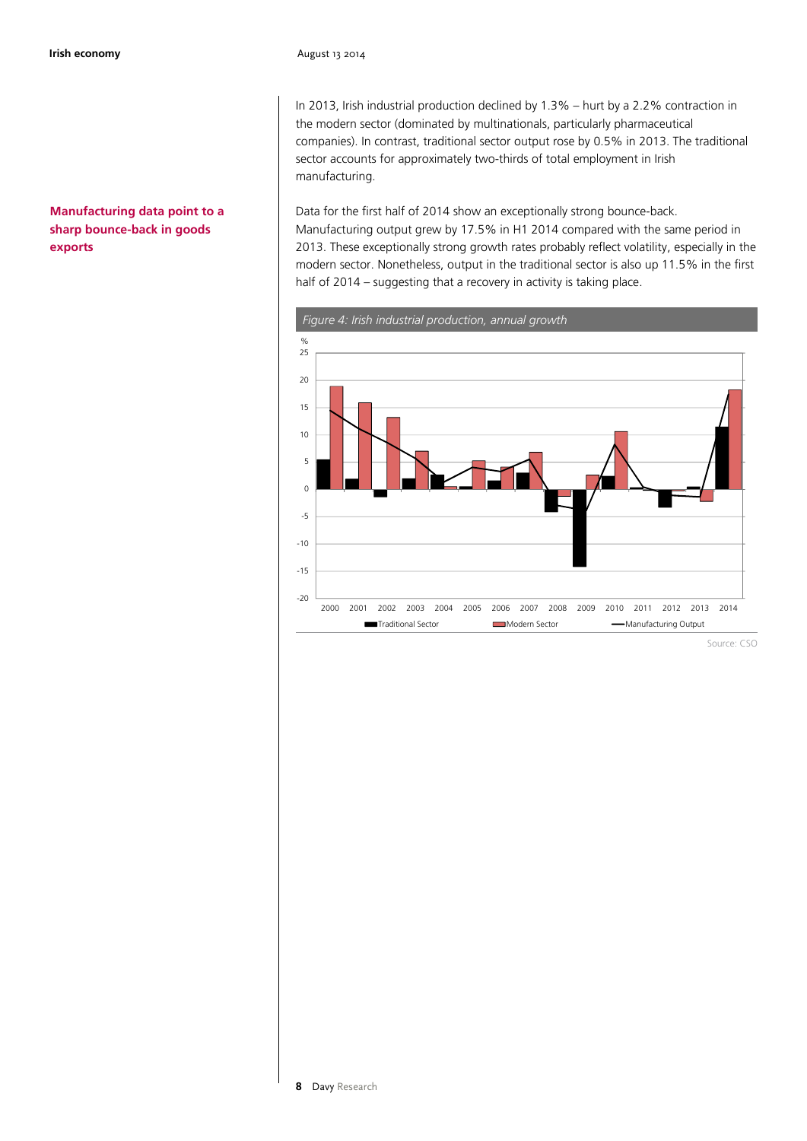#### **Manufacturing data point to a sharp bounce-back in goods exports**

In 2013, Irish industrial production declined by 1.3% – hurt by a 2.2% contraction in the modern sector (dominated by multinationals, particularly pharmaceutical companies). In contrast, traditional sector output rose by 0.5% in 2013. The traditional sector accounts for approximately two-thirds of total employment in Irish manufacturing.

Data for the first half of 2014 show an exceptionally strong bounce-back. Manufacturing output grew by 17.5% in H1 2014 compared with the same period in 2013. These exceptionally strong growth rates probably reflect volatility, especially in the modern sector. Nonetheless, output in the traditional sector is also up 11.5% in the first half of 2014 – suggesting that a recovery in activity is taking place.



*Figure 4: Irish industrial production, annual growth*

Source: CSO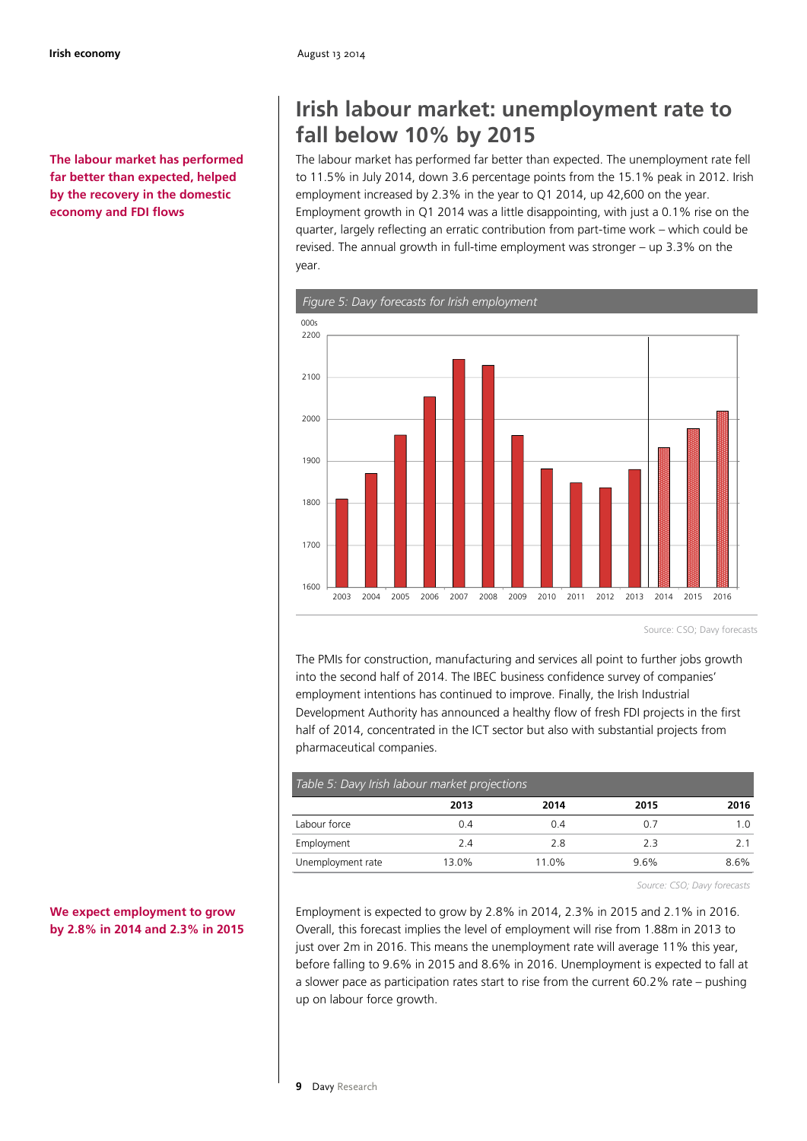**The labour market has performed far better than expected, helped by the recovery in the domestic economy and FDI flows**

# **Irish labour market: unemployment rate to fall below 10% by 2015**

The labour market has performed far better than expected. The unemployment rate fell to 11.5% in July 2014, down 3.6 percentage points from the 15.1% peak in 2012. Irish employment increased by 2.3% in the year to Q1 2014, up 42,600 on the year. Employment growth in Q1 2014 was a little disappointing, with just a 0.1% rise on the quarter, largely reflecting an erratic contribution from part-time work – which could be revised. The annual growth in full-time employment was stronger – up 3.3% on the year.



Source: CSO; Davy forecasts

The PMIs for construction, manufacturing and services all point to further jobs growth into the second half of 2014. The IBEC business confidence survey of companies' employment intentions has continued to improve. Finally, the Irish Industrial Development Authority has announced a healthy flow of fresh FDI projects in the first half of 2014, concentrated in the ICT sector but also with substantial projects from pharmaceutical companies.

| Table 5: Davy Irish labour market projections |       |       |         |         |  |  |
|-----------------------------------------------|-------|-------|---------|---------|--|--|
|                                               | 2013  | 2014  | 2015    | 2016    |  |  |
| Labour force                                  | 0.4   | 0.4   | 0.7     | 1 ດ     |  |  |
| Employment                                    | 2.4   | 2.8   | 2.3     | 21      |  |  |
| Unemployment rate                             | 13.0% | 11.0% | $9.6\%$ | $8.6\%$ |  |  |

*Source: CSO; Davy forecasts* 

Employment is expected to grow by 2.8% in 2014, 2.3% in 2015 and 2.1% in 2016. Overall, this forecast implies the level of employment will rise from 1.88m in 2013 to just over 2m in 2016. This means the unemployment rate will average 11% this year, before falling to 9.6% in 2015 and 8.6% in 2016. Unemployment is expected to fall at a slower pace as participation rates start to rise from the current 60.2% rate – pushing up on labour force growth.

#### **We expect employment to grow by 2.8% in 2014 and 2.3% in 2015**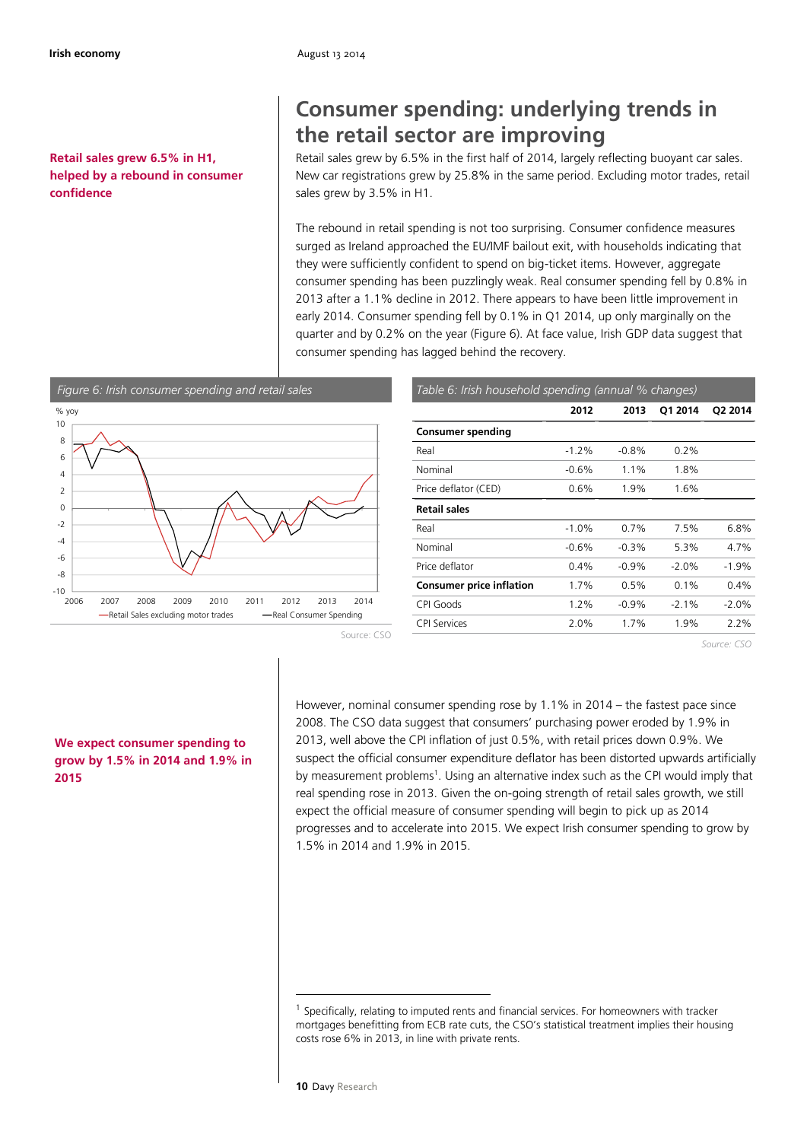**Retail sales grew 6.5% in H1, helped by a rebound in consumer confidence**

# **Consumer spending: underlying trends in the retail sector are improving**

Retail sales grew by 6.5% in the first half of 2014, largely reflecting buoyant car sales. New car registrations grew by 25.8% in the same period. Excluding motor trades, retail sales grew by 3.5% in H1.

The rebound in retail spending is not too surprising. Consumer confidence measures surged as Ireland approached the EU/IMF bailout exit, with households indicating that they were sufficiently confident to spend on big-ticket items. However, aggregate consumer spending has been puzzlingly weak. Real consumer spending fell by 0.8% in 2013 after a 1.1% decline in 2012. There appears to have been little improvement in early 2014. Consumer spending fell by 0.1% in Q1 2014, up only marginally on the quarter and by 0.2% on the year (Figure 6). At face value, Irish GDP data suggest that consumer spending has lagged behind the recovery.



| Table 6: Irish household spending (annual % changes) |         |         |         |          |  |  |  |
|------------------------------------------------------|---------|---------|---------|----------|--|--|--|
|                                                      | 2012    | 2013    | 01 2014 | Q2 2014  |  |  |  |
| <b>Consumer spending</b>                             |         |         |         |          |  |  |  |
| Real                                                 | $-1.2%$ | $-0.8%$ | $0.2\%$ |          |  |  |  |
| Nominal                                              | $-0.6%$ | 1.1%    | 1.8%    |          |  |  |  |
| Price deflator (CED)                                 | 0.6%    | 1.9%    | 1.6%    |          |  |  |  |
| <b>Retail sales</b>                                  |         |         |         |          |  |  |  |
| Real                                                 | $-1.0%$ | $0.7\%$ | 7.5%    | 6.8%     |  |  |  |
| Nominal                                              | $-0.6%$ | $-0.3%$ | 5.3%    | 4.7%     |  |  |  |
| Price deflator                                       | 0.4%    | $-0.9%$ | $-2.0%$ | $-1.9%$  |  |  |  |
| <b>Consumer price inflation</b>                      | 1.7%    | $0.5\%$ | $0.1\%$ | $0.4\%$  |  |  |  |
| CPI Goods                                            | 1.2%    | $-0.9%$ | $-2.1%$ | $-2.0\%$ |  |  |  |
| <b>CPI Services</b>                                  | 2.0%    | 1.7%    | 1.9%    | 2.2%     |  |  |  |
|                                                      |         |         |         |          |  |  |  |

*Source: CSO* 

Source: CSO

#### **We expect consumer spending to grow by 1.5% in 2014 and 1.9% in 2015**

However, nominal consumer spending rose by 1.1% in 2014 – the fastest pace since 2008. The CSO data suggest that consumers' purchasing power eroded by 1.9% in 2013, well above the CPI inflation of just 0.5%, with retail prices down 0.9%. We suspect the official consumer expenditure deflator has been distorted upwards artificially by measurement problems<sup>1</sup>. Using an alternative index such as the CPI would imply that real spending rose in 2013. Given the on-going strength of retail sales growth, we still expect the official measure of consumer spending will begin to pick up as 2014 progresses and to accelerate into 2015. We expect Irish consumer spending to grow by 1.5% in 2014 and 1.9% in 2015.

1

<sup>&</sup>lt;sup>1</sup> Specifically, relating to imputed rents and financial services. For homeowners with tracker mortgages benefitting from ECB rate cuts, the CSO's statistical treatment implies their housing costs rose 6% in 2013, in line with private rents.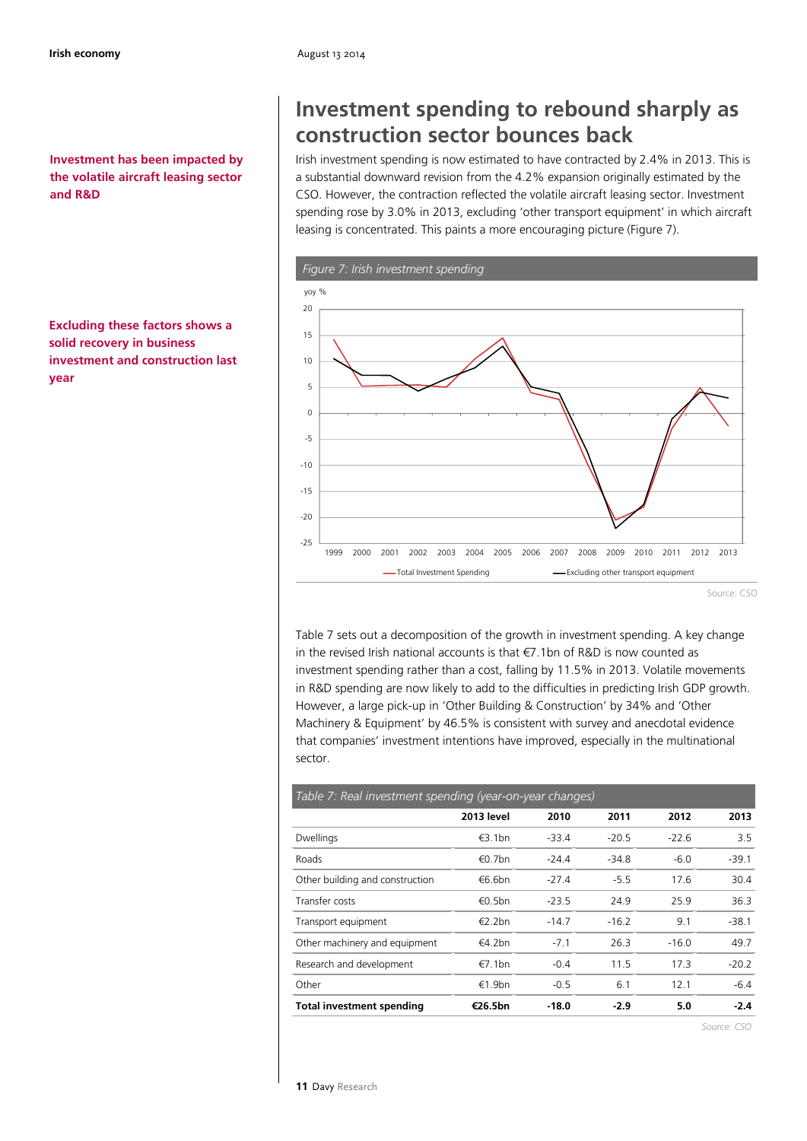**Investment has been impacted by the volatile aircraft leasing sector and R&D**

**Excluding these factors shows a solid recovery in business investment and construction last year**

# **Investment spending to rebound sharply as construction sector bounces back**

Irish investment spending is now estimated to have contracted by 2.4% in 2013. This is a substantial downward revision from the 4.2% expansion originally estimated by the CSO. However, the contraction reflected the volatile aircraft leasing sector. Investment spending rose by 3.0% in 2013, excluding 'other transport equipment' in which aircraft leasing is concentrated. This paints a more encouraging picture (Figure 7).



Table 7 sets out a decomposition of the growth in investment spending. A key change in the revised Irish national accounts is that €7.1bn of R&D is now counted as investment spending rather than a cost, falling by 11.5% in 2013. Volatile movements in R&D spending are now likely to add to the difficulties in predicting Irish GDP growth. However, a large pick-up in 'Other Building & Construction' by 34% and 'Other Machinery & Equipment' by 46.5% is consistent with survey and anecdotal evidence that companies' investment intentions have improved, especially in the multinational sector.

# *Table 7: Real investment spending (year-on-year changes)*

|                                  | <b>2013 level</b> | 2010    | 2011    | 2012    | 2013    |
|----------------------------------|-------------------|---------|---------|---------|---------|
| Dwellings                        | $\epsilon$ 3.1bn  | $-33.4$ | $-20.5$ | $-22.6$ | 3.5     |
| Roads                            | $\epsilon$ 0.7bn  | $-24.4$ | $-34.8$ | $-6.0$  | $-39.1$ |
| Other building and construction  | €6.6bn            | $-27.4$ | $-5.5$  | 17.6    | 30.4    |
| Transfer costs                   | $\epsilon$ 0.5bn  | $-23.5$ | 24.9    | 25.9    | 36.3    |
| Transport equipment              | $\epsilon$ 2.2bn  | $-14.7$ | $-16.2$ | 9.1     | $-38.1$ |
| Other machinery and equipment    | €4.2bn            | $-7.1$  | 26.3    | $-16.0$ | 49.7    |
| Research and development         | €7.1bn            | $-0.4$  | 11.5    | 17.3    | $-20.2$ |
| Other                            | €1.9bn            | $-0.5$  | 6.1     | 12.1    | $-6.4$  |
| <b>Total investment spending</b> | €26.5bn           | $-18.0$ | $-2.9$  | 5.0     | $-2.4$  |

*Source: CSO*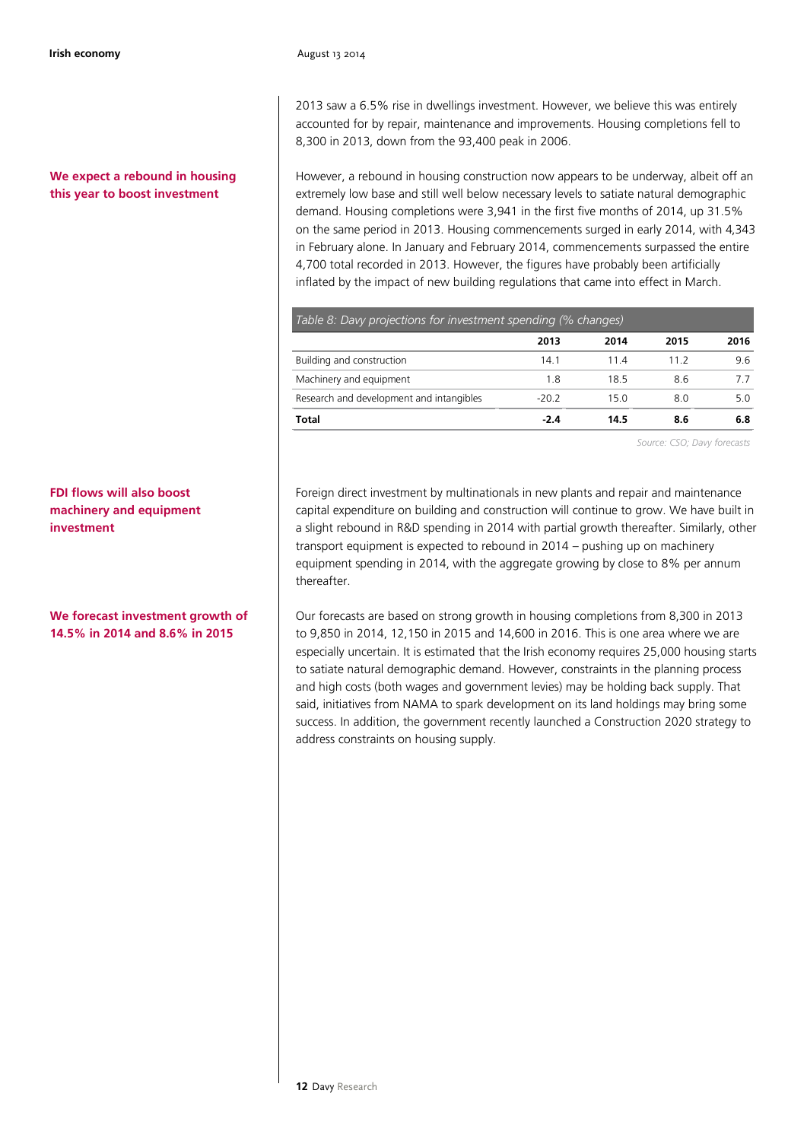#### **We expect a rebound in housing this year to boost investment**

**FDI flows will also boost machinery and equipment investment**

**We forecast investment growth of 14.5% in 2014 and 8.6% in 2015**

2013 saw a 6.5% rise in dwellings investment. However, we believe this was entirely accounted for by repair, maintenance and improvements. Housing completions fell to 8,300 in 2013, down from the 93,400 peak in 2006.

However, a rebound in housing construction now appears to be underway, albeit off an extremely low base and still well below necessary levels to satiate natural demographic demand. Housing completions were 3,941 in the first five months of 2014, up 31.5% on the same period in 2013. Housing commencements surged in early 2014, with 4,343 in February alone. In January and February 2014, commencements surpassed the entire 4,700 total recorded in 2013. However, the figures have probably been artificially inflated by the impact of new building regulations that came into effect in March.

| Table 8: Davy projections for investment spending (% changes) |         |      |      |      |  |
|---------------------------------------------------------------|---------|------|------|------|--|
|                                                               | 2013    | 2014 | 2015 | 2016 |  |
| Building and construction                                     | 14.1    | 114  | 11.2 | 96   |  |
| Machinery and equipment                                       | 1.8     | 18.5 | 8.6  |      |  |
| Research and development and intangibles                      | $-20.2$ | 15.0 | 8.0  | 5.0  |  |
| <b>Total</b>                                                  | $-2.4$  | 14.5 | 8.6  | 6.8  |  |

*Source: CSO; Davy forecasts* 

Foreign direct investment by multinationals in new plants and repair and maintenance capital expenditure on building and construction will continue to grow. We have built in a slight rebound in R&D spending in 2014 with partial growth thereafter. Similarly, other transport equipment is expected to rebound in 2014 – pushing up on machinery equipment spending in 2014, with the aggregate growing by close to 8% per annum thereafter.

Our forecasts are based on strong growth in housing completions from 8,300 in 2013 to 9,850 in 2014, 12,150 in 2015 and 14,600 in 2016. This is one area where we are especially uncertain. It is estimated that the Irish economy requires 25,000 housing starts to satiate natural demographic demand. However, constraints in the planning process and high costs (both wages and government levies) may be holding back supply. That said, initiatives from NAMA to spark development on its land holdings may bring some success. In addition, the government recently launched a Construction 2020 strategy to address constraints on housing supply.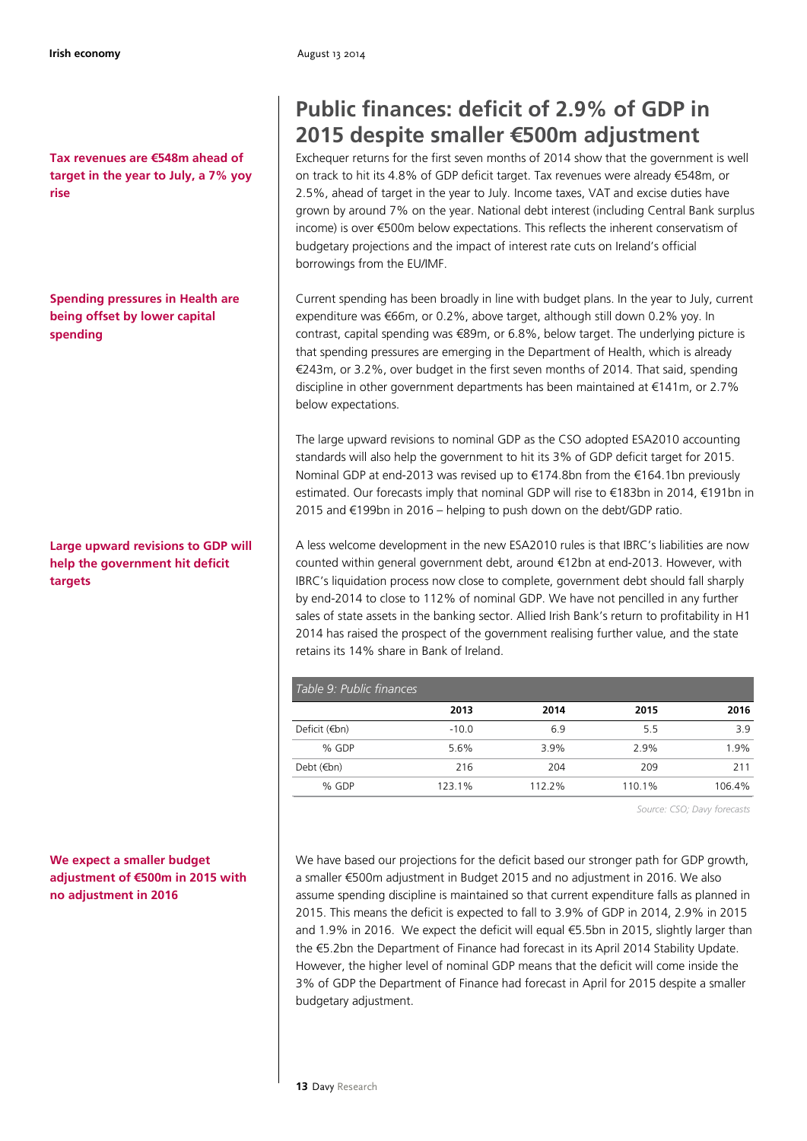**Tax revenues are €548m ahead of target in the year to July, a 7% yoy rise**

**Spending pressures in Health are being offset by lower capital spending**

**Large upward revisions to GDP will help the government hit deficit targets**

**We expect a smaller budget adjustment of €500m in 2015 with no adjustment in 2016**

# **Public finances: deficit of 2.9% of GDP in 2015 despite smaller €500m adjustment**

Exchequer returns for the first seven months of 2014 show that the government is well on track to hit its 4.8% of GDP deficit target. Tax revenues were already €548m, or 2.5%, ahead of target in the year to July. Income taxes, VAT and excise duties have grown by around 7% on the year. National debt interest (including Central Bank surplus income) is over €500m below expectations. This reflects the inherent conservatism of budgetary projections and the impact of interest rate cuts on Ireland's official borrowings from the EU/IMF.

Current spending has been broadly in line with budget plans. In the year to July, current expenditure was €66m, or 0.2%, above target, although still down 0.2% yoy. In contrast, capital spending was €89m, or 6.8%, below target. The underlying picture is that spending pressures are emerging in the Department of Health, which is already €243m, or 3.2%, over budget in the first seven months of 2014. That said, spending discipline in other government departments has been maintained at €141m, or 2.7% below expectations.

The large upward revisions to nominal GDP as the CSO adopted ESA2010 accounting standards will also help the government to hit its 3% of GDP deficit target for 2015. Nominal GDP at end-2013 was revised up to €174.8bn from the €164.1bn previously estimated. Our forecasts imply that nominal GDP will rise to €183bn in 2014, €191bn in 2015 and €199bn in 2016 – helping to push down on the debt/GDP ratio.

A less welcome development in the new ESA2010 rules is that IBRC's liabilities are now counted within general government debt, around €12bn at end-2013. However, with IBRC's liquidation process now close to complete, government debt should fall sharply by end-2014 to close to 112% of nominal GDP. We have not pencilled in any further sales of state assets in the banking sector. Allied Irish Bank's return to profitability in H1 2014 has raised the prospect of the government realising further value, and the state retains its 14% share in Bank of Ireland.

| Table 9: Public finances |         |        |        |        |  |  |
|--------------------------|---------|--------|--------|--------|--|--|
|                          | 2013    | 2014   | 2015   | 2016   |  |  |
| Deficit (€bn)            | $-10.0$ | 6.9    | 5.5    | 3.9    |  |  |
| $%$ GDP                  | 5.6%    | 3.9%   | 2.9%   | 1.9%   |  |  |
| Debt $(\epsilon$ bn)     | 216     | 204    | 209    | 211    |  |  |
| % GDP                    | 123.1%  | 112.2% | 110.1% | 106.4% |  |  |

*Source: CSO; Davy forecasts* 

We have based our projections for the deficit based our stronger path for GDP growth, a smaller €500m adjustment in Budget 2015 and no adjustment in 2016. We also assume spending discipline is maintained so that current expenditure falls as planned in 2015. This means the deficit is expected to fall to 3.9% of GDP in 2014, 2.9% in 2015 and 1.9% in 2016. We expect the deficit will equal €5.5bn in 2015, slightly larger than the €5.2bn the Department of Finance had forecast in its April 2014 Stability Update. However, the higher level of nominal GDP means that the deficit will come inside the 3% of GDP the Department of Finance had forecast in April for 2015 despite a smaller budgetary adjustment.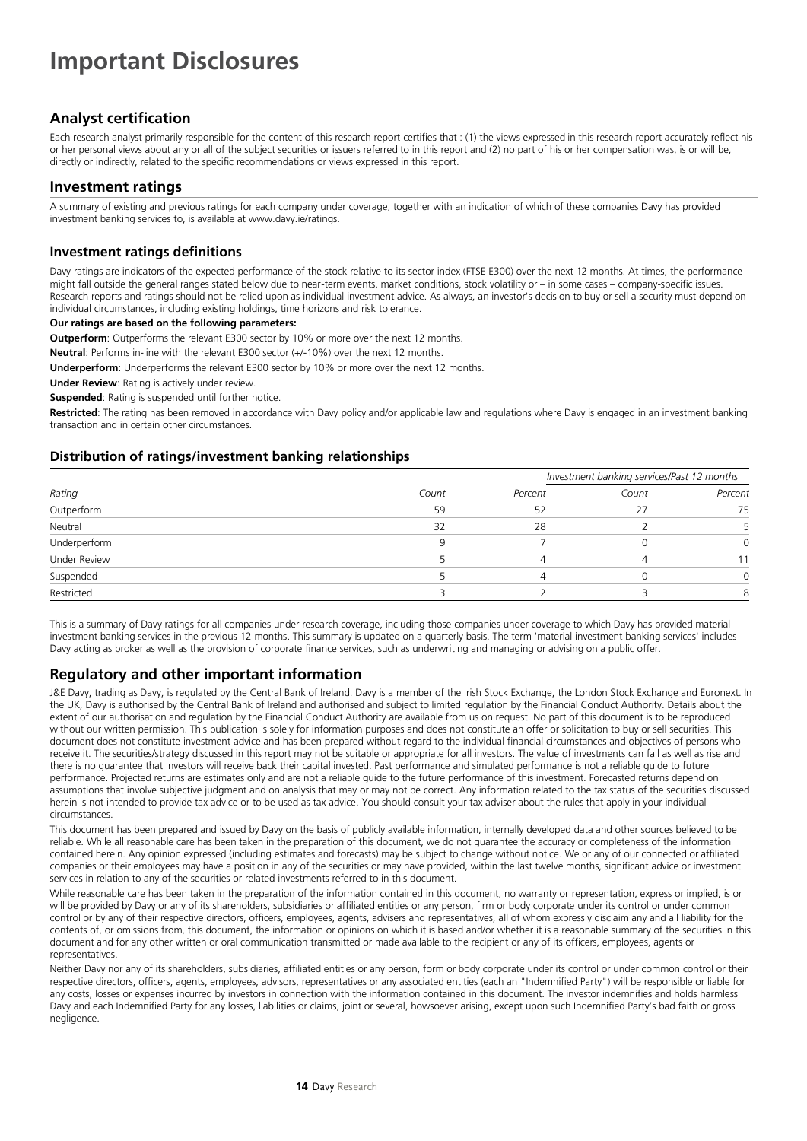# **Important Disclosures**

### **Analyst certification**

Each research analyst primarily responsible for the content of this research report certifies that : (1) the views expressed in this research report accurately reflect his or her personal views about any or all of the subject securities or issuers referred to in this report and (2) no part of his or her compensation was, is or will be, directly or indirectly, related to the specific recommendations or views expressed in this report.

#### **Investment ratings**

A summary of existing and previous ratings for each company under coverage, together with an indication of which of these companies Davy has provided investment banking services to, is available at www.davy.ie/ratings.

#### **Investment ratings definitions**

Davy ratings are indicators of the expected performance of the stock relative to its sector index (FTSE E300) over the next 12 months. At times, the performance might fall outside the general ranges stated below due to near-term events, market conditions, stock volatility or – in some cases – company-specific issues. Research reports and ratings should not be relied upon as individual investment advice. As always, an investor's decision to buy or sell a security must depend on individual circumstances, including existing holdings, time horizons and risk tolerance.

#### **Our ratings are based on the following parameters:**

**Outperform**: Outperforms the relevant E300 sector by 10% or more over the next 12 months.

**Neutral**: Performs in-line with the relevant E300 sector (+/-10%) over the next 12 months.

**Underperform**: Underperforms the relevant E300 sector by 10% or more over the next 12 months.

**Under Review**: Rating is actively under review.

**Suspended**: Rating is suspended until further notice.

**Restricted**: The rating has been removed in accordance with Davy policy and/or applicable law and regulations where Davy is engaged in an investment banking transaction and in certain other circumstances.

#### **Distribution of ratings/investment banking relationships**

|                     |       |         | Investment banking services/Past 12 months |         |
|---------------------|-------|---------|--------------------------------------------|---------|
| Rating              | Count | Percent | Count                                      | Percent |
| Outperform          | 59    | 52      |                                            | 75      |
| Neutral             | 32    | 28      |                                            |         |
| Underperform        |       |         |                                            | 0       |
| <b>Under Review</b> |       |         |                                            | 11      |
| Suspended           |       |         |                                            |         |
| Restricted          |       |         |                                            | 8       |

This is a summary of Davy ratings for all companies under research coverage, including those companies under coverage to which Davy has provided material investment banking services in the previous 12 months. This summary is updated on a quarterly basis. The term 'material investment banking services' includes Davy acting as broker as well as the provision of corporate finance services, such as underwriting and managing or advising on a public offer.

### **Regulatory and other important information**

J&E Davy, trading as Davy, is regulated by the Central Bank of Ireland. Davy is a member of the Irish Stock Exchange, the London Stock Exchange and Euronext. In the UK, Davy is authorised by the Central Bank of Ireland and authorised and subject to limited regulation by the Financial Conduct Authority. Details about the extent of our authorisation and regulation by the Financial Conduct Authority are available from us on request. No part of this document is to be reproduced without our written permission. This publication is solely for information purposes and does not constitute an offer or solicitation to buy or sell securities. This document does not constitute investment advice and has been prepared without regard to the individual financial circumstances and objectives of persons who receive it. The securities/strategy discussed in this report may not be suitable or appropriate for all investors. The value of investments can fall as well as rise and there is no guarantee that investors will receive back their capital invested. Past performance and simulated performance is not a reliable guide to future performance. Projected returns are estimates only and are not a reliable guide to the future performance of this investment. Forecasted returns depend on assumptions that involve subjective judgment and on analysis that may or may not be correct. Any information related to the tax status of the securities discussed herein is not intended to provide tax advice or to be used as tax advice. You should consult your tax adviser about the rules that apply in your individual circumstances.

This document has been prepared and issued by Davy on the basis of publicly available information, internally developed data and other sources believed to be reliable. While all reasonable care has been taken in the preparation of this document, we do not guarantee the accuracy or completeness of the information contained herein. Any opinion expressed (including estimates and forecasts) may be subject to change without notice. We or any of our connected or affiliated companies or their employees may have a position in any of the securities or may have provided, within the last twelve months, significant advice or investment services in relation to any of the securities or related investments referred to in this document.

While reasonable care has been taken in the preparation of the information contained in this document, no warranty or representation, express or implied, is or will be provided by Davy or any of its shareholders, subsidiaries or affiliated entities or any person, firm or body corporate under its control or under common control or by any of their respective directors, officers, employees, agents, advisers and representatives, all of whom expressly disclaim any and all liability for the contents of, or omissions from, this document, the information or opinions on which it is based and/or whether it is a reasonable summary of the securities in this document and for any other written or oral communication transmitted or made available to the recipient or any of its officers, employees, agents or representatives.

Neither Davy nor any of its shareholders, subsidiaries, affiliated entities or any person, form or body corporate under its control or under common control or their respective directors, officers, agents, employees, advisors, representatives or any associated entities (each an "Indemnified Party") will be responsible or liable for any costs, losses or expenses incurred by investors in connection with the information contained in this document. The investor indemnifies and holds harmless Davy and each Indemnified Party for any losses, liabilities or claims, joint or several, howsoever arising, except upon such Indemnified Party's bad faith or gross negligence